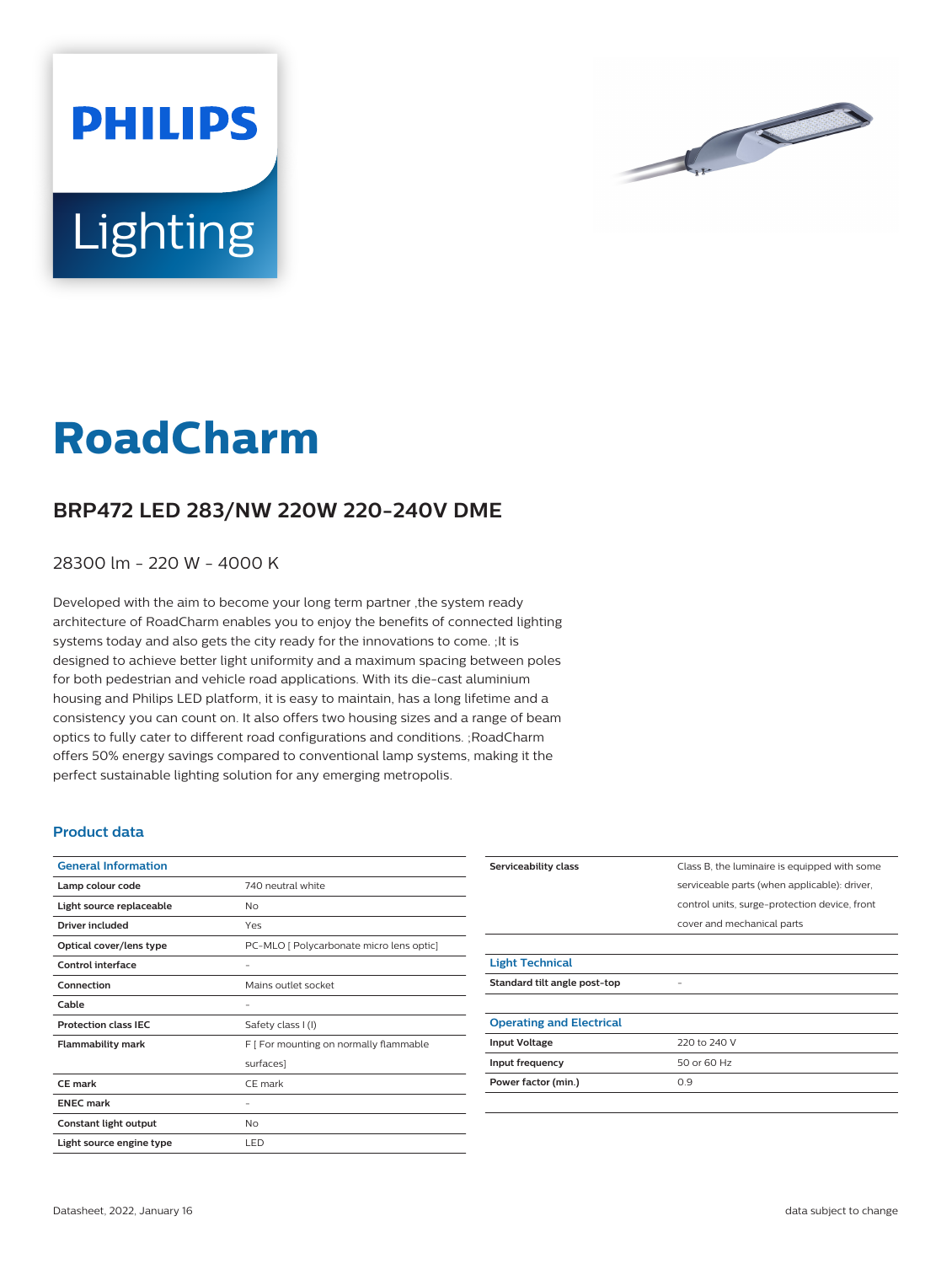



## **RoadCharm**

## **BRP472 LED 283/NW 220W 220-240V DME**

28300 lm - 220 W - 4000 K

Developed with the aim to become your long term partner ,the system ready architecture of RoadCharm enables you to enjoy the benefits of connected lighting systems today and also gets the city ready for the innovations to come. ;It is designed to achieve better light uniformity and a maximum spacing between poles for both pedestrian and vehicle road applications. With its die-cast aluminium housing and Philips LED platform, it is easy to maintain, has a long lifetime and a consistency you can count on. It also offers two housing sizes and a range of beam optics to fully cater to different road configurations and conditions. ;RoadCharm offers 50% energy savings compared to conventional lamp systems, making it the perfect sustainable lighting solution for any emerging metropolis.

## **Product data**

| <b>General Information</b>  |                                          |
|-----------------------------|------------------------------------------|
| Lamp colour code            | 740 neutral white                        |
| Light source replaceable    | No                                       |
| Driver included             | Yes                                      |
| Optical cover/lens type     | PC-MLO [ Polycarbonate micro lens optic] |
| Control interface           |                                          |
| Connection                  | Mains outlet socket                      |
| Cable                       |                                          |
| <b>Protection class IEC</b> | Safety class I (I)                       |
| <b>Flammability mark</b>    | F [ For mounting on normally flammable   |
|                             | surfaces]                                |
| CF mark                     | CE mark                                  |
| <b>ENEC mark</b>            |                                          |
| Constant light output       | No                                       |
| Light source engine type    | LED                                      |

| Serviceability class            | Class B, the luminaire is equipped with some  |
|---------------------------------|-----------------------------------------------|
|                                 | serviceable parts (when applicable): driver,  |
|                                 | control units, surge-protection device, front |
|                                 | cover and mechanical parts                    |
|                                 |                                               |
| <b>Light Technical</b>          |                                               |
| Standard tilt angle post-top    |                                               |
|                                 |                                               |
| <b>Operating and Electrical</b> |                                               |
| <b>Input Voltage</b>            | 220 to 240 V                                  |
| Input frequency                 | 50 or 60 Hz                                   |
| Power factor (min.)             | 0.9                                           |
|                                 |                                               |